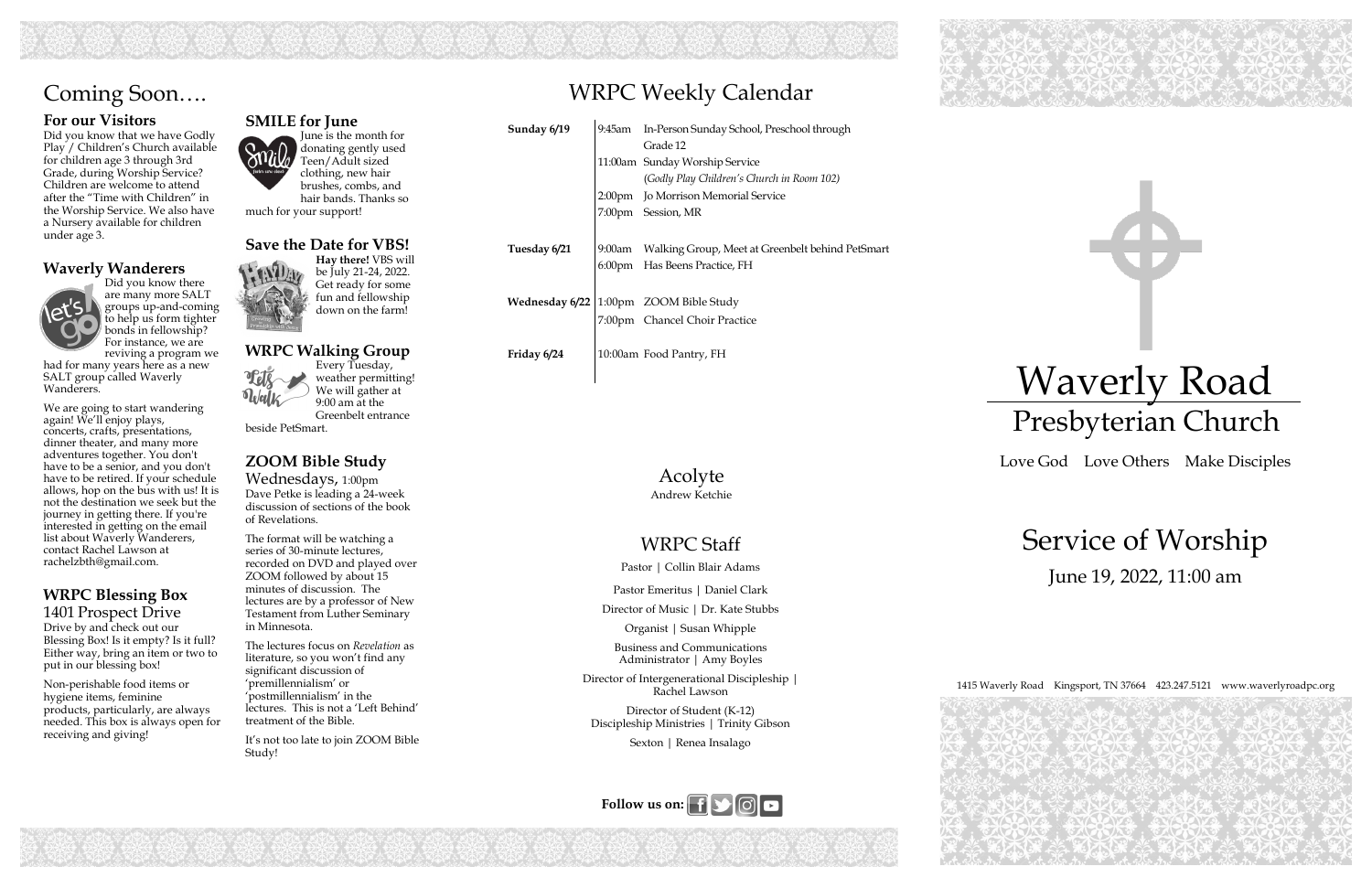233 2023 20

# WRPC Weekly Calendar







## WRPC Staff

Pastor | Collin Blair Adams

Pastor Emeritus | Daniel Clark

Director of Music | Dr. Kate Stubbs

Organist | Susan Whipple

Business and Communications Administrator | Amy Boyles

Director of Intergenerational Discipleship | Rachel Lawson

Director of Student (K-12) Discipleship Ministries | Trinity Gibson

Sexton | Renea Insalago

| Sunday 6/19  | 9:45am | In-Person Sunday School, Preschool through       |
|--------------|--------|--------------------------------------------------|
|              |        | Grade 12                                         |
|              |        | 11:00am Sunday Worship Service                   |
|              |        | (Godly Play Children's Church in Room 102)       |
|              |        | 2:00pm Jo Morrison Memorial Service              |
|              |        | 7:00pm Session, MR                               |
|              |        |                                                  |
| Tuesday 6/21 | 9:00am | Walking Group, Meet at Greenbelt behind PetSmart |
|              |        | 6:00pm Has Beens Practice, FH                    |
|              |        |                                                  |
|              |        | Wednesday 6/22   1:00pm ZOOM Bible Study         |
|              |        | 7:00pm Chancel Choir Practice                    |
|              |        |                                                  |
| Friday 6/24  |        | 10:00am Food Pantry, FH                          |

### **For our Visitors**

Did you know that we have Godly Play / Children's Church available for children age 3 through 3rd Grade, during Worship Service? Children are welcome to attend after the "Time with Children" in the Worship Service. We also have a Nursery available for children under age 3.

### **Waverly Wanderers**



Did you know there are many more SALT groups up-and-coming to help us form tighter bonds in fellowship? For instance, we are reviving a program we

had for many years here as a new SALT group called Waverly Wanderers.

We are going to start wandering again! We'll enjoy plays, concerts, crafts, presentations, dinner theater, and many more adventures together. You don't have to be a senior, and you don't have to be retired. If your schedule allows, hop on the bus with us! It is not the destination we seek but the journey in getting there. If you're interested in getting on the email list about Waverly Wanderers, contact Rachel Lawson at rachelzbth@gmail.com.

### **WRPC Blessing Box** 1401 Prospect Drive

Drive by and check out our Blessing Box! Is it empty? Is it full? Either way, bring an item or two to put in our blessing box!

Non-perishable food items or hygiene items, feminine products, particularly, are always needed. This box is always open for receiving and giving!

# Coming Soon….

Acolyte Andrew Ketchie

#### **SMILE for June**  June is the month for donating gently used Teen/Adult sized clothing, new hair

brushes, combs, and hair bands. Thanks so much for your support!

### **Save the Date for VBS!**

**Hay there!** VBS will be July 21-24, 2022. Get ready for some fun and fellowship down on the farm!

#### **WRPC Walking Group**  Every Tuesday, weather permitting!



We will gather at

9:00 am at the Greenbelt entrance beside PetSmart.

**ZOOM Bible Study** 

Wednesdays, 1:00pm Dave Petke is leading a 24-week discussion of sections of the book of Revelations.

The format will be watching a series of 30-minute lectures, recorded on DVD and played over ZOOM followed by about 15 minutes of discussion. The lectures are by a professor of New Testament from Luther Seminary in Minnesota.

The lectures focus on *Revelation* as literature, so you won't find any significant discussion of 'premillennialism' or 'postmillennialism' in the lectures. This is not a 'Left Behind' treatment of the Bible.

It's not too late to join ZOOM Bible Study!

# Waverly Road Presbyterian Church

Love God Love Others Make Disciples

# Service of Worship June 19, 2022, 11:00 am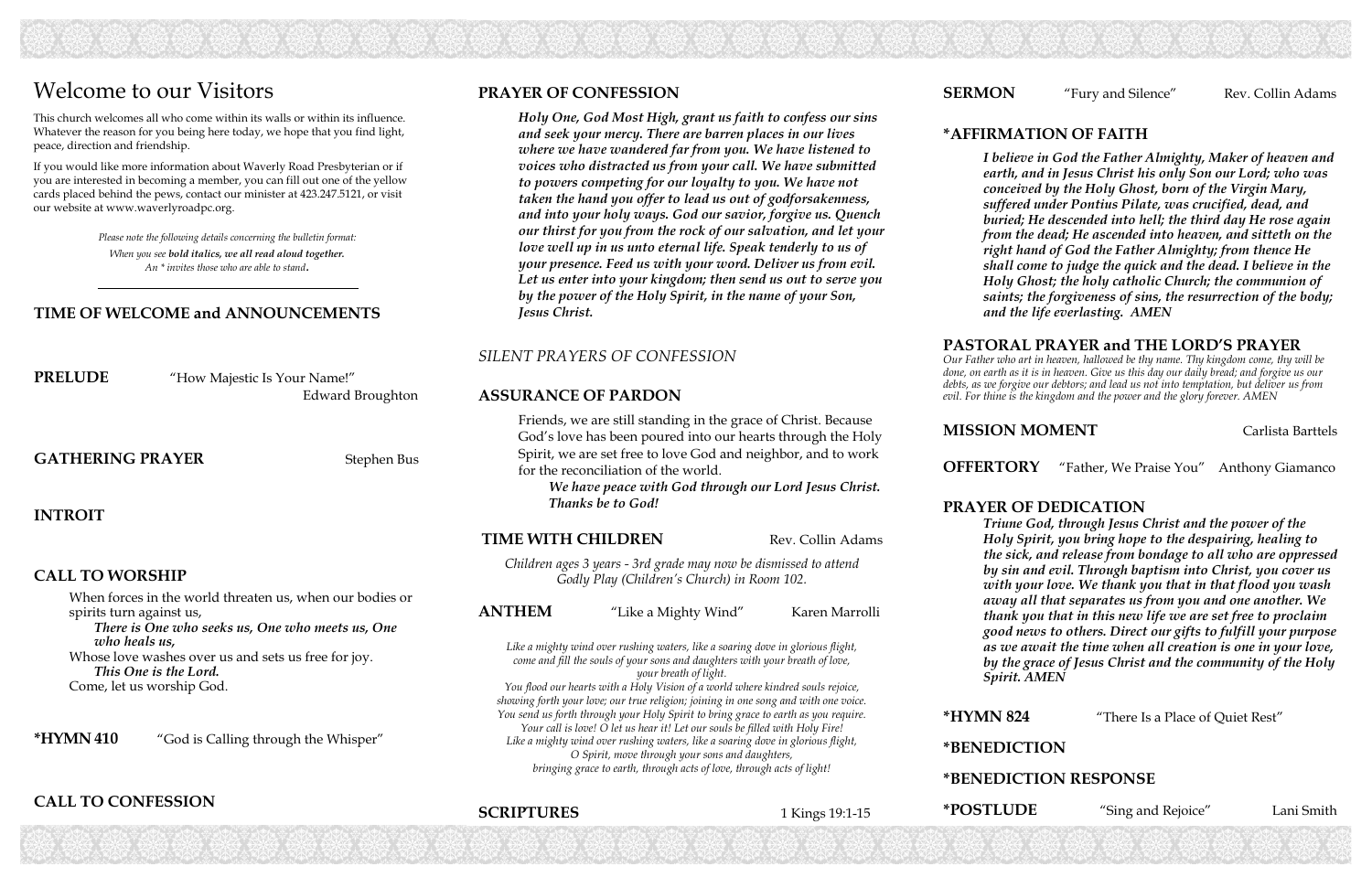### **\*AFFIRMATION OF FAITH**

*I believe in God the Father Almighty, Maker of heaven and earth, and in Jesus Christ his only Son our Lord; who was conceived by the Holy Ghost, born of the Virgin Mary, suffered under Pontius Pilate, was crucified, dead, and buried; He descended into hell; the third day He rose again from the dead; He ascended into heaven, and sitteth on the right hand of God the Father Almighty; from thence He shall come to judge the quick and the dead. I believe in the Holy Ghost; the holy catholic Church; the communion of saints; the forgiveness of sins, the resurrection of the body; and the life everlasting. AMEN*

#### **PASTORAL PRAYER and THE LORD'S PRAYER**

**MISSION MOMENT** Carlista Barttels

*Our Father who art in heaven, hallowed be thy name. Thy kingdom come, thy will be done, on earth as it is in heaven. Give us this day our daily bread; and forgive us our debts, as we forgive our debtors; and lead us not into temptation, but deliver us from evil. For thine is the kingdom and the power and the glory forever. AMEN* 

**PRELUDE** "How Majestic Is Your Name!" Edward Broughton

GATHERING PRAYER Stephen Bus

**OFFERTORY** "Father, We Praise You" Anthony Giamanco

#### **PRAYER OF DEDICATION**

*Triune God, through Jesus Christ and the power of the Holy Spirit, you bring hope to the despairing, healing to the sick, and release from bondage to all who are oppressed by sin and evil. Through baptism into Christ, you cover us with your love. We thank you that in that flood you wash away all that separates us from you and one another. We thank you that in this new life we are set free to proclaim good news to others. Direct our gifts to fulfill your purpose as we await the time when all creation is one in your love, by the grace of Jesus Christ and the community of the Holy Spirit. AMEN* 

**\*HYMN 824** "There Is a Place of Quiet Rest"

**\*BENEDICTION** 

#### **\*BENEDICTION RESPONSE**

**\*POSTLUDE** "Sing and Rejoice" Lani Smith

#### **SERMON** "Fury and Silence" Rev. Collin Adams

#### **TIME OF WELCOME and ANNOUNCEMENTS**

**INTROIT** 

#### **CALL TO WORSHIP**

When forces in the world threaten us, when our bodies or spirits turn against us,

*There is One who seeks us, One who meets us, One who heals us,*

Whose love washes over us and sets us free for joy. *This One is the Lord.*  Come, let us worship God.

**\*HYMN 410** "God is Calling through the Whisper"

### **CALL TO CONFESSION**

*Please note the following details concerning the bulletin format: When you see bold italics, we all read aloud together. An \* invites those who are able to stand.*

## Welcome to our Visitors

This church welcomes all who come within its walls or within its influence. Whatever the reason for you being here today, we hope that you find light, peace, direction and friendship.

If you would like more information about Waverly Road Presbyterian or if you are interested in becoming a member, you can fill out one of the yellow cards placed behind the pews, contact our minister at 423.247.5121, or visit our website at www.waverlyroadpc.org.

### **PRAYER OF CONFESSION**

*Holy One, God Most High, grant us faith to confess our sins and seek your mercy. There are barren places in our lives where we have wandered far from you. We have listened to voices who distracted us from your call. We have submitted to powers competing for our loyalty to you. We have not taken the hand you offer to lead us out of godforsakenness, and into your holy ways. God our savior, forgive us. Quench our thirst for you from the rock of our salvation, and let your love well up in us unto eternal life. Speak tenderly to us of your presence. Feed us with your word. Deliver us from evil. Let us enter into your kingdom; then send us out to serve you by the power of the Holy Spirit, in the name of your Son, Jesus Christ.* 

### *SILENT PRAYERS OF CONFESSION*

#### **ASSURANCE OF PARDON**

Friends, we are still standing in the grace of Christ. Because God's love has been poured into our hearts through the Holy Spirit, we are set free to love God and neighbor, and to work for the reconciliation of the world.

*We have peace with God through our Lord Jesus Christ. Thanks be to God!*

#### **TIME WITH CHILDREN** Rev. Collin Adams

*Children ages 3 years - 3rd grade may now be dismissed to attend Godly Play (Children's Church) in Room 102.* 

#### **ANTHEM** "Like a Mighty Wind" Karen Marrolli

*Like a mighty wind over rushing waters, like a soaring dove in glorious flight, come and fill the souls of your sons and daughters with your breath of love, your breath of light.* 

*You flood our hearts with a Holy Vision of a world where kindred souls rejoice, showing forth your love; our true religion; joining in one song and with one voice. You send us forth through your Holy Spirit to bring grace to earth as you require. Your call is love! O let us hear it! Let our souls be filled with Holy Fire! Like a mighty wind over rushing waters, like a soaring dove in glorious flight, O Spirit, move through your sons and daughters, bringing grace to earth, through acts of love, through acts of light!*

### **SCRIPTURES**

**SCRIPTURES** 1 Kings 19:1-15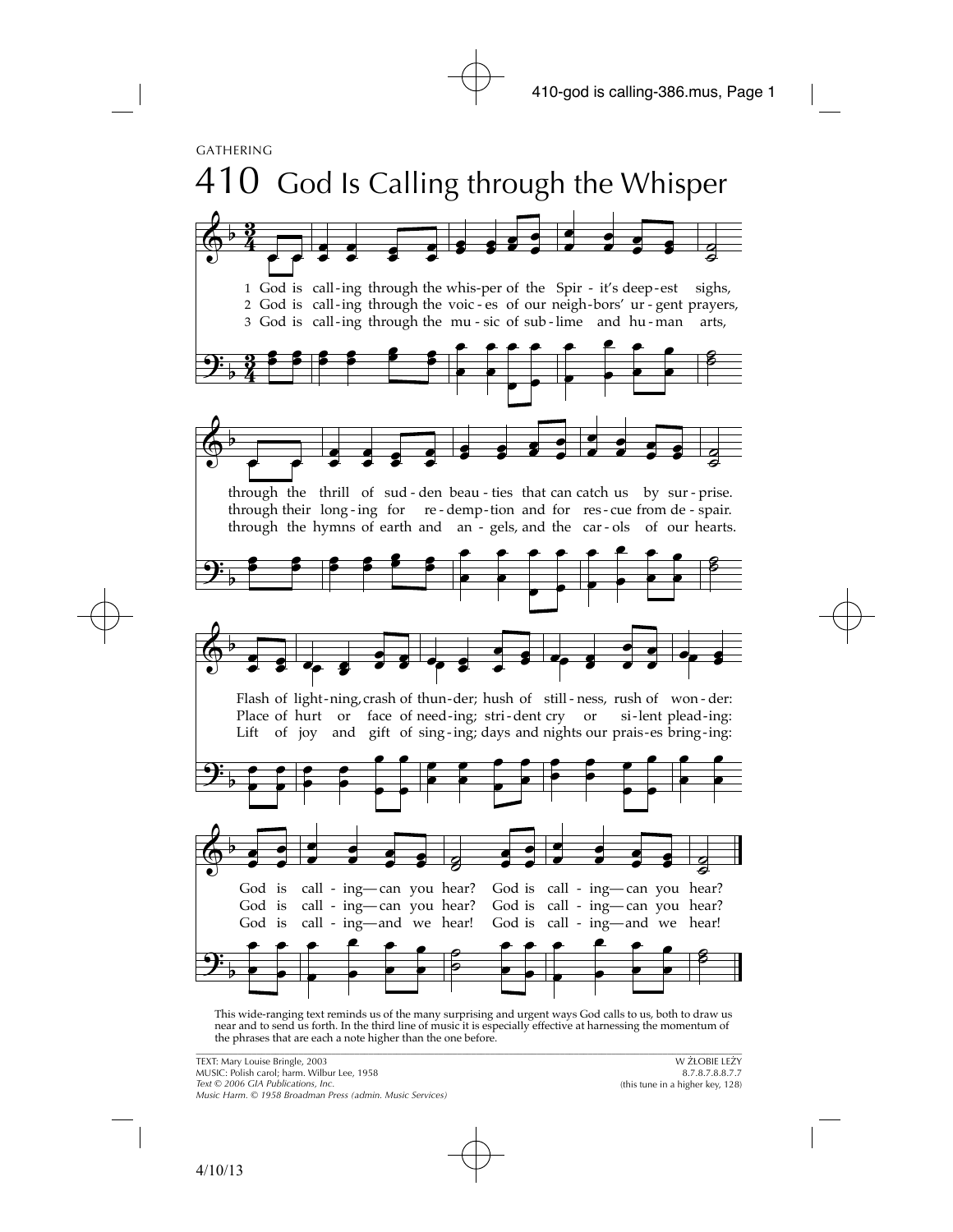

\_\_\_\_\_\_\_\_\_\_\_\_\_\_\_\_\_\_\_\_\_\_\_\_\_\_\_\_\_\_\_\_\_\_\_\_\_\_\_\_\_\_\_\_\_\_\_\_\_\_\_\_\_\_\_\_\_\_\_\_\_\_\_\_\_\_\_\_\_\_\_\_\_\_\_\_\_\_\_\_\_\_\_\_\_\_\_\_\_\_\_\_\_\_\_\_\_\_\_\_\_\_\_\_\_\_\_\_\_\_\_\_\_\_\_\_\_ This wide-ranging text reminds us of the many surprising and urgent ways God calls to us, both to draw us near and to send us forth. In the third line of music it is especially effective at harnessing the momentum of the phrases that are each a note higher than the one before.